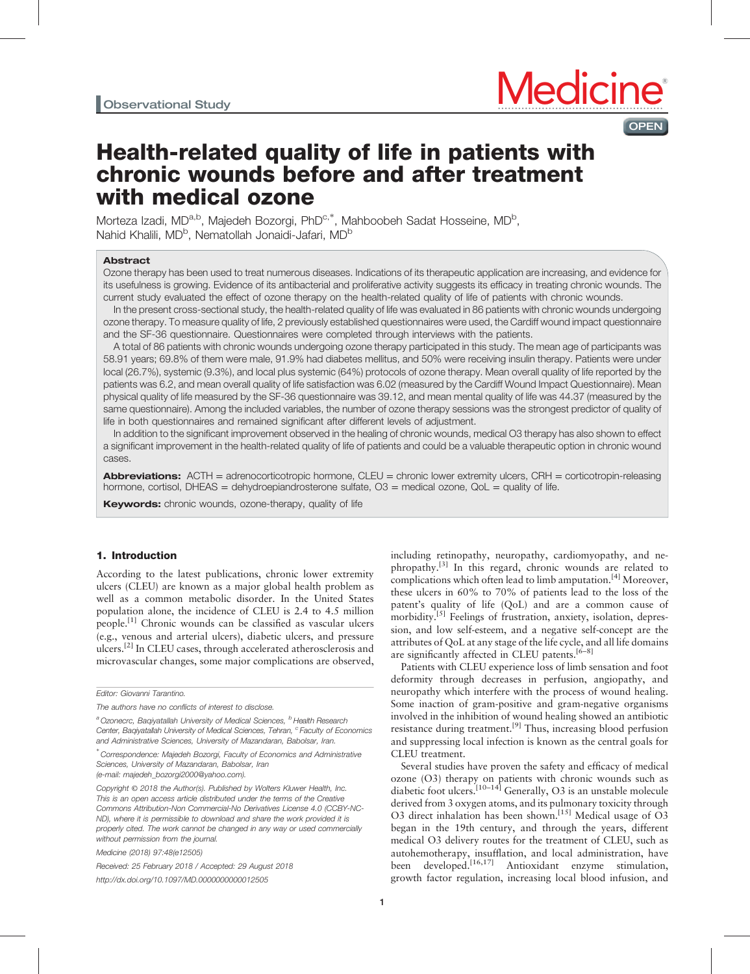

# Health-related quality of life in patients with chronic wounds before and after treatment with medical ozone

Morteza Izadi, MD<sup>a,b</sup>, Majedeh Bozorgi, PhD<sup>c,\*</sup>, Mahboobeh Sadat Hosseine, MD<sup>b</sup>, Nahid Khalili, MD<sup>b</sup>, Nematollah Jonaidi-Jafari, MD<sup>b</sup>

# Abstract

Ozone therapy has been used to treat numerous diseases. Indications of its therapeutic application are increasing, and evidence for its usefulness is growing. Evidence of its antibacterial and proliferative activity suggests its efficacy in treating chronic wounds. The current study evaluated the effect of ozone therapy on the health-related quality of life of patients with chronic wounds.

In the present cross-sectional study, the health-related quality of life was evaluated in 86 patients with chronic wounds undergoing ozone therapy. To measure quality of life, 2 previously established questionnaires were used, the Cardiff wound impact questionnaire and the SF-36 questionnaire. Questionnaires were completed through interviews with the patients.

A total of 86 patients with chronic wounds undergoing ozone therapy participated in this study. The mean age of participants was 58.91 years; 69.8% of them were male, 91.9% had diabetes mellitus, and 50% were receiving insulin therapy. Patients were under local (26.7%), systemic (9.3%), and local plus systemic (64%) protocols of ozone therapy. Mean overall quality of life reported by the patients was 6.2, and mean overall quality of life satisfaction was 6.02 (measured by the Cardiff Wound Impact Questionnaire). Mean physical quality of life measured by the SF-36 questionnaire was 39.12, and mean mental quality of life was 44.37 (measured by the same questionnaire). Among the included variables, the number of ozone therapy sessions was the strongest predictor of quality of life in both questionnaires and remained significant after different levels of adjustment.

In addition to the significant improvement observed in the healing of chronic wounds, medical O3 therapy has also shown to effect a significant improvement in the health-related quality of life of patients and could be a valuable therapeutic option in chronic wound cases.

**Abbreviations:** ACTH = adrenocorticotropic hormone,  $CLEU =$  chronic lower extremity ulcers,  $CRH =$  corticotropin-releasing hormone, cortisol, DHEAS = dehydroepiandrosterone sulfate,  $O3$  = medical ozone,  $QoL$  = quality of life.

**Keywords:** chronic wounds, ozone-therapy, quality of life

# 1. Introduction

According to the latest publications, chronic lower extremity ulcers (CLEU) are known as a major global health problem as well as a common metabolic disorder. In the United States population alone, the incidence of CLEU is 2.4 to 4.5 million people.<sup>[\[1\]](#page-5-0)</sup> Chronic wounds can be classified as vascular ulcers (e.g., venous and arterial ulcers), diabetic ulcers, and pressure ulcers.[\[2\]](#page-5-0) In CLEU cases, through accelerated atherosclerosis and microvascular changes, some major complications are observed,

Received: 25 February 2018 / Accepted: 29 August 2018 <http://dx.doi.org/10.1097/MD.0000000000012505>

including retinopathy, neuropathy, cardiomyopathy, and nephropathy.[\[3\]](#page-5-0) In this regard, chronic wounds are related to complications which often lead to limb amputation.<sup>[\[4\]](#page-5-0)</sup> Moreover, these ulcers in 60% to 70% of patients lead to the loss of the patent's quality of life (QoL) and are a common cause of morbidity.<sup>[\[5\]](#page-5-0)</sup> Feelings of frustration, anxiety, isolation, depression, and low self-esteem, and a negative self-concept are the attributes of QoL at any stage of the life cycle, and all life domains are significantly affected in CLEU patents.<sup>[6-8]</sup>

Patients with CLEU experience loss of limb sensation and foot deformity through decreases in perfusion, angiopathy, and neuropathy which interfere with the process of wound healing. Some inaction of gram-positive and gram-negative organisms involved in the inhibition of wound healing showed an antibiotic resistance during treatment.<sup>[\[9\]](#page-5-0)</sup> Thus, increasing blood perfusion and suppressing local infection is known as the central goals for CLEU treatment.

Several studies have proven the safety and efficacy of medical ozone (O3) therapy on patients with chronic wounds such as diabetic foot ulcers.<sup>[10–14]</sup> Generally, O3 is an unstable molecule derived from 3 oxygen atoms, and its pulmonary toxicity through O3 direct inhalation has been shown.<sup>[\[15\]](#page-5-0)</sup> Medical usage of O3 began in the 19th century, and through the years, different medical O3 delivery routes for the treatment of CLEU, such as autohemotherapy, insufflation, and local administration, have been developed.[16,17] Antioxidant enzyme stimulation, growth factor regulation, increasing local blood infusion, and

Editor: Giovanni Tarantino.

The authors have no conflicts of interest to disclose.

<sup>&</sup>lt;sup>a</sup> Ozonecrc, Bagiyatallah University of Medical Sciences, <sup>b</sup> Health Research Center, Baqiyatallah University of Medical Sciences, Tehran, <sup>c</sup> Faculty of Economics and Administrative Sciences, University of Mazandaran, Babolsar, Iran.

<sup>∗</sup> Correspondence: Majedeh Bozorgi, Faculty of Economics and Administrative Sciences, University of Mazandaran, Babolsar, Iran (e-mail: [majedeh\\_bozorgi2000@yahoo.com\).](mailto:majedeh_bozorgi2000@yahoo.com), Tel: +989124765086.)

Copyright © 2018 the Author(s). Published by Wolters Kluwer Health, Inc. This is an open access article distributed under the terms of the [Creative](http://creativecommons.org/licenses/by-nc-nd/4.0) [Commons Attribution-Non Commercial-No Derivatives License 4.0](http://creativecommons.org/licenses/by-nc-nd/4.0) (CCBY-NC-ND), where it is permissible to download and share the work provided it is properly cited. The work cannot be changed in any way or used commercially without permission from the journal.

Medicine (2018) 97:48(e12505)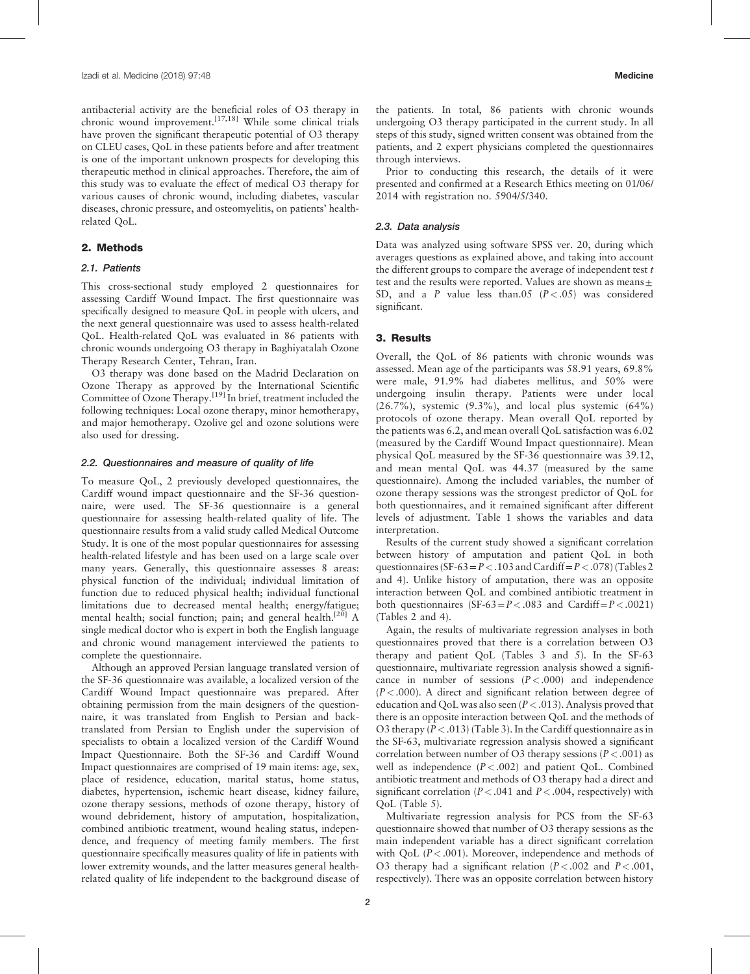antibacterial activity are the beneficial roles of O3 therapy in chronic wound improvement.<sup>[17,18]</sup> While some clinical trials have proven the significant therapeutic potential of O3 therapy on CLEU cases, QoL in these patients before and after treatment is one of the important unknown prospects for developing this therapeutic method in clinical approaches. Therefore, the aim of this study was to evaluate the effect of medical O3 therapy for various causes of chronic wound, including diabetes, vascular diseases, chronic pressure, and osteomyelitis, on patients' healthrelated QoL.

### 2. Methods

### 2.1. Patients

This cross-sectional study employed 2 questionnaires for assessing Cardiff Wound Impact. The first questionnaire was specifically designed to measure QoL in people with ulcers, and the next general questionnaire was used to assess health-related QoL. Health-related QoL was evaluated in 86 patients with chronic wounds undergoing O3 therapy in Baghiyatalah Ozone Therapy Research Center, Tehran, Iran.

O3 therapy was done based on the Madrid Declaration on Ozone Therapy as approved by the International Scientific Committee of Ozone Therapy.[\[19\]](#page-5-0) In brief, treatment included the following techniques: Local ozone therapy, minor hemotherapy, and major hemotherapy. Ozolive gel and ozone solutions were also used for dressing.

### 2.2. Questionnaires and measure of quality of life

To measure QoL, 2 previously developed questionnaires, the Cardiff wound impact questionnaire and the SF-36 questionnaire, were used. The SF-36 questionnaire is a general questionnaire for assessing health-related quality of life. The questionnaire results from a valid study called Medical Outcome Study. It is one of the most popular questionnaires for assessing health-related lifestyle and has been used on a large scale over many years. Generally, this questionnaire assesses 8 areas: physical function of the individual; individual limitation of function due to reduced physical health; individual functional limitations due to decreased mental health; energy/fatigue; mental health; social function; pain; and general health.<sup>[\[20\]](#page-5-0)</sup> A single medical doctor who is expert in both the English language and chronic wound management interviewed the patients to complete the questionnaire.

Although an approved Persian language translated version of the SF-36 questionnaire was available, a localized version of the Cardiff Wound Impact questionnaire was prepared. After obtaining permission from the main designers of the questionnaire, it was translated from English to Persian and backtranslated from Persian to English under the supervision of specialists to obtain a localized version of the Cardiff Wound Impact Questionnaire. Both the SF-36 and Cardiff Wound Impact questionnaires are comprised of 19 main items: age, sex, place of residence, education, marital status, home status, diabetes, hypertension, ischemic heart disease, kidney failure, ozone therapy sessions, methods of ozone therapy, history of wound debridement, history of amputation, hospitalization, combined antibiotic treatment, wound healing status, independence, and frequency of meeting family members. The first questionnaire specifically measures quality of life in patients with lower extremity wounds, and the latter measures general healthrelated quality of life independent to the background disease of the patients. In total, 86 patients with chronic wounds undergoing O3 therapy participated in the current study. In all steps of this study, signed written consent was obtained from the patients, and 2 expert physicians completed the questionnaires through interviews.

Prior to conducting this research, the details of it were presented and confirmed at a Research Ethics meeting on 01/06/ 2014 with registration no. 5904/5/340.

### 2.3. Data analysis

Data was analyzed using software SPSS ver. 20, during which averages questions as explained above, and taking into account the different groups to compare the average of independent test  $t$ test and the results were reported. Values are shown as means $\pm$ SD, and a P value less than.05  $(P < .05)$  was considered significant.

### 3. Results

Overall, the QoL of 86 patients with chronic wounds was assessed. Mean age of the participants was 58.91 years, 69.8% were male, 91.9% had diabetes mellitus, and 50% were undergoing insulin therapy. Patients were under local  $(26.7\%)$ , systemic  $(9.3\%)$ , and local plus systemic  $(64\%)$ protocols of ozone therapy. Mean overall QoL reported by the patients was 6.2, and mean overall QoL satisfaction was 6.02 (measured by the Cardiff Wound Impact questionnaire). Mean physical QoL measured by the SF-36 questionnaire was 39.12, and mean mental QoL was 44.37 (measured by the same questionnaire). Among the included variables, the number of ozone therapy sessions was the strongest predictor of QoL for both questionnaires, and it remained significant after different levels of adjustment. [Table 1](#page-2-0) shows the variables and data interpretation.

Results of the current study showed a significant correlation between history of amputation and patient QoL in both questionnaires (SF-63 =  $P < .103$  and Cardiff =  $P < .078$ ) (Tables 2 and 4). Unlike history of amputation, there was an opposite interaction between QoL and combined antibiotic treatment in both questionnaires  $(SF-63=P<.083$  and Cardiff= $P<.0021$ ) (Tables 2 and 4).

Again, the results of multivariate regression analyses in both questionnaires proved that there is a correlation between O3 therapy and patient QoL (Tables 3 and 5). In the SF-63 questionnaire, multivariate regression analysis showed a significance in number of sessions  $(P < .000)$  and independence  $(P < .000)$ . A direct and significant relation between degree of education and QoL was also seen  $(P < .013)$ . Analysis proved that there is an opposite interaction between QoL and the methods of O3 therapy  $(P < .013)$  ([Table 3](#page-2-0)). In the Cardiff questionnaire as in the SF-63, multivariate regression analysis showed a significant correlation between number of O3 therapy sessions ( $P < .001$ ) as well as independence  $(P < .002)$  and patient QoL. Combined antibiotic treatment and methods of O3 therapy had a direct and significant correlation ( $P < .041$  and  $P < .004$ , respectively) with QoL ([Table 5](#page-3-0)).

Multivariate regression analysis for PCS from the SF-63 questionnaire showed that number of O3 therapy sessions as the main independent variable has a direct significant correlation with QoL  $(P < .001)$ . Moreover, independence and methods of O3 therapy had a significant relation ( $P < .002$  and  $P < .001$ , respectively). There was an opposite correlation between history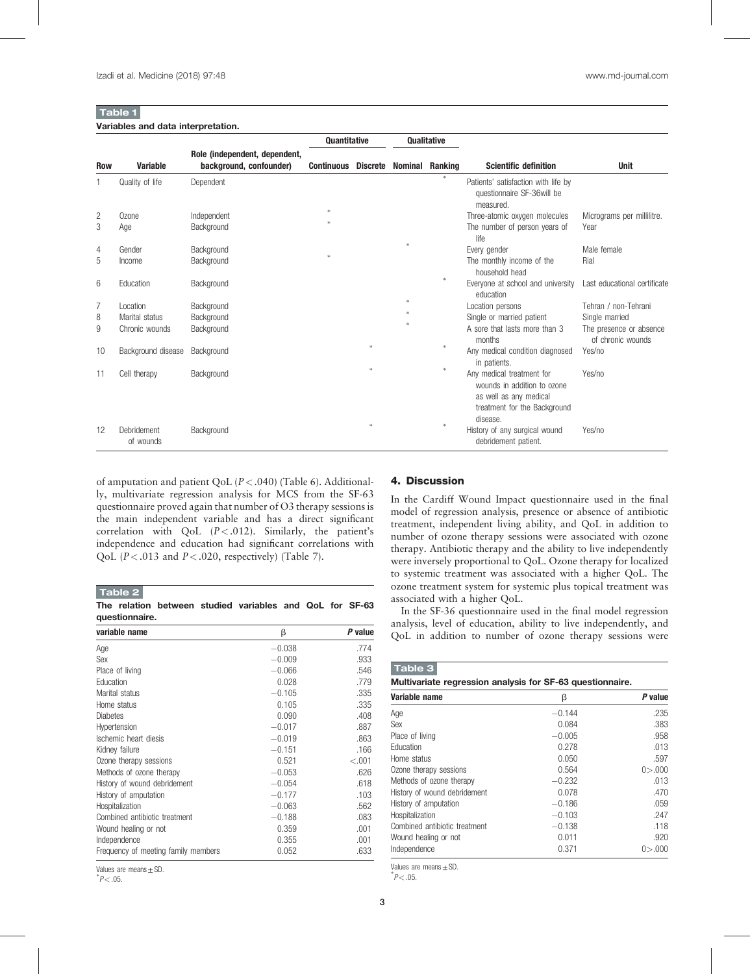# <span id="page-2-0"></span>Table 1

|     |                          |                                                          | <b>Ouantitative</b> |                 | <b>Oualitative</b>     |               |                                                                                                                                |                                              |
|-----|--------------------------|----------------------------------------------------------|---------------------|-----------------|------------------------|---------------|--------------------------------------------------------------------------------------------------------------------------------|----------------------------------------------|
| Row | <b>Variable</b>          | Role (independent, dependent,<br>background, confounder) | <b>Continuous</b>   | <b>Discrete</b> | <b>Nominal Ranking</b> |               | <b>Scientific definition</b>                                                                                                   | <b>Unit</b>                                  |
| 1   | Quality of life          | Dependent                                                |                     |                 |                        | $\frac{1}{2}$ | Patients' satisfaction with life by<br>questionnaire SF-36 will be<br>measured.                                                |                                              |
| 2   | Ozone                    | Independent                                              |                     |                 |                        |               | Three-atomic oxygen molecules                                                                                                  | Micrograms per millilitre.                   |
| 3   | Age                      | Background                                               |                     |                 |                        |               | The number of person years of<br>life                                                                                          | Year                                         |
| 4   | Gender                   | Background                                               |                     |                 |                        |               | Every gender                                                                                                                   | Male female                                  |
| 5   | Income                   | Background                                               |                     |                 |                        |               | The monthly income of the<br>household head                                                                                    | Rial                                         |
| 6   | Education                | Background                                               |                     |                 |                        | ×.            | Everyone at school and university<br>education                                                                                 | Last educational certificate                 |
| 7   | Location                 | Background                                               |                     |                 |                        |               | Location persons                                                                                                               | Tehran / non-Tehrani                         |
| 8   | Marital status           | Background                                               |                     |                 |                        |               | Single or married patient                                                                                                      | Single married                               |
| 9   | Chronic wounds           | Background                                               |                     |                 |                        |               | A sore that lasts more than 3<br>months                                                                                        | The presence or absence<br>of chronic wounds |
| 10  | Background disease       | Background                                               |                     |                 |                        | $\ast$        | Any medical condition diagnosed<br>in patients.                                                                                | Yes/no                                       |
| 11  | Cell therapy             | Background                                               |                     |                 |                        | ×.            | Any medical treatment for<br>wounds in addition to ozone<br>as well as any medical<br>treatment for the Background<br>disease. | Yes/no                                       |
| 12  | Debridement<br>of wounds | Background                                               |                     |                 |                        | $\frac{1}{2}$ | History of any surgical wound<br>debridement patient.                                                                          | Yes/no                                       |

of amputation and patient QoL  $(P < .040)$  ([Table 6\)](#page-3-0). Additionally, multivariate regression analysis for MCS from the SF-63 questionnaire proved again that number of O3 therapy sessions is the main independent variable and has a direct significant correlation with QoL  $(P < .012)$ . Similarly, the patient's independence and education had significant correlations with QoL ( $P < .013$  and  $P < .020$ , respectively) [\(Table 7\)](#page-3-0).

Table 2

The relation between studied variables and QoL for SF-63 questionnaire.

| variable name                       | β        | P value |  |
|-------------------------------------|----------|---------|--|
| Age                                 | $-0.038$ | .774    |  |
| Sex                                 | $-0.009$ | .933    |  |
| Place of living                     | $-0.066$ | .546    |  |
| Education                           | 0.028    | .779    |  |
| Marital status                      | $-0.105$ | .335    |  |
| Home status                         | 0.105    | .335    |  |
| <b>Diabetes</b>                     | 0.090    | .408    |  |
| Hypertension                        | $-0.017$ | .887    |  |
| Ischemic heart diesis               | $-0.019$ | .863    |  |
| Kidney failure                      | $-0.151$ | .166    |  |
| Ozone therapy sessions              | 0.521    | $-.001$ |  |
| Methods of ozone therapy            | $-0.053$ | .626    |  |
| History of wound debridement        | $-0.054$ | .618    |  |
| History of amputation               | $-0.177$ | .103    |  |
| Hospitalization                     | $-0.063$ | .562    |  |
| Combined antibiotic treatment       | $-0.188$ | .083    |  |
| Wound healing or not                | 0.359    | .001    |  |
| Independence                        | 0.355    | .001    |  |
| Frequency of meeting family members | 0.052    | .633    |  |

Values are means $±$ SD.

# $^{*}P<.05$ .

### 4. Discussion

In the Cardiff Wound Impact questionnaire used in the final model of regression analysis, presence or absence of antibiotic treatment, independent living ability, and QoL in addition to number of ozone therapy sessions were associated with ozone therapy. Antibiotic therapy and the ability to live independently were inversely proportional to QoL. Ozone therapy for localized to systemic treatment was associated with a higher QoL. The ozone treatment system for systemic plus topical treatment was associated with a higher QoL.

In the SF-36 questionnaire used in the final model regression analysis, level of education, ability to live independently, and QoL in addition to number of ozone therapy sessions were

| Table 3                                                   |          |               |  |
|-----------------------------------------------------------|----------|---------------|--|
| Multivariate regression analysis for SF-63 questionnaire. |          |               |  |
| Variable name                                             | β        | P value       |  |
| Age                                                       | $-0.144$ | .235          |  |
| Sex                                                       | 0.084    | .383          |  |
| Place of living                                           | $-0.005$ | .958          |  |
| Education                                                 | 0.278    | .013          |  |
| Home status                                               | 0.050    | .597          |  |
| Ozone therapy sessions                                    | 0.564    | 0 > 000       |  |
| Methods of ozone therapy                                  | $-0.232$ | .013          |  |
| History of wound debridement                              | 0.078    | .470          |  |
| History of amputation                                     | $-0.186$ | .059          |  |
| Hospitalization                                           | $-0.103$ | .247          |  |
| Combined antibiotic treatment                             | $-0.138$ | .118          |  |
| Wound healing or not                                      | 0.011    | .920          |  |
| Independence                                              | 0.371    | $0$ $> 0.000$ |  |

Values are means $±$ SD.

 $^*P$  < .05.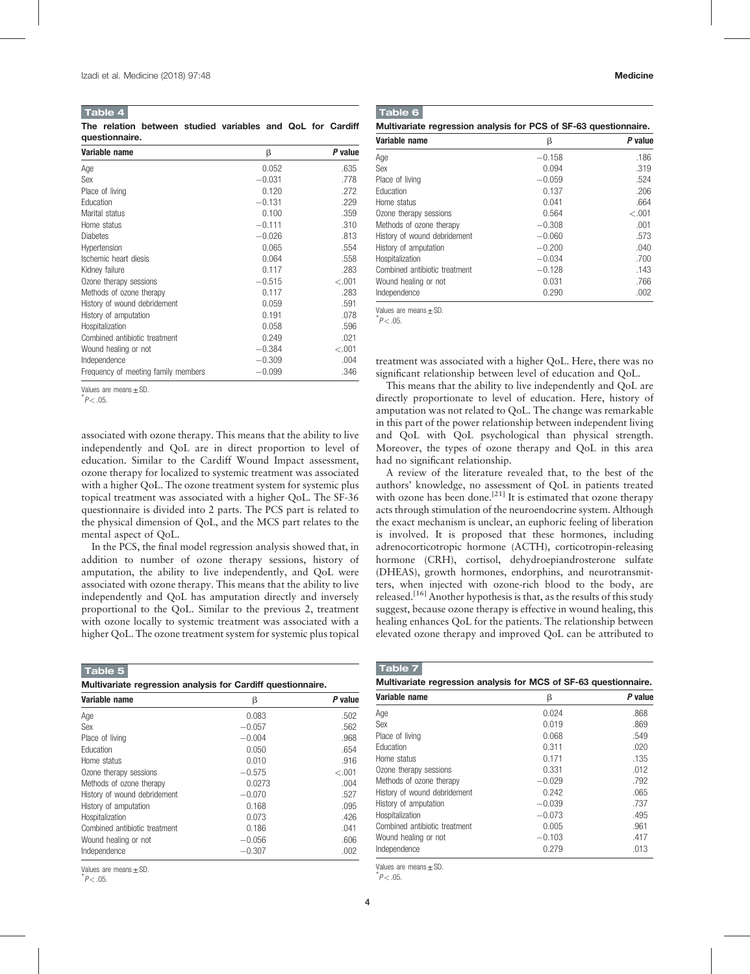#### <span id="page-3-0"></span>Table 4

The relation between studied variables and QoL for Cardiff questionnaire.

| Variable name                       | β        | P value |
|-------------------------------------|----------|---------|
| Age                                 | 0.052    | .635    |
| Sex                                 | $-0.031$ | .778    |
| Place of living                     | 0.120    | .272    |
| Education                           | $-0.131$ | .229    |
| Marital status                      | 0.100    | .359    |
| Home status                         | $-0.111$ | .310    |
| <b>Diabetes</b>                     | $-0.026$ | .813    |
| Hypertension                        | 0.065    | .554    |
| Ischemic heart diesis               | 0.064    | .558    |
| Kidney failure                      | 0.117    | .283    |
| Ozone therapy sessions              | $-0.515$ | $-.001$ |
| Methods of ozone therapy            | 0.117    | .283    |
| History of wound debridement        | 0.059    | .591    |
| History of amputation               | 0.191    | .078    |
| Hospitalization                     | 0.058    | .596    |
| Combined antibiotic treatment       | 0.249    | .021    |
| Wound healing or not                | $-0.384$ | $-.001$ |
| Independence                        | $-0.309$ | .004    |
| Frequency of meeting family members | $-0.099$ | .346    |

Values are means $±SD$ .

 $^{\degree}P<.05$ .

associated with ozone therapy. This means that the ability to live independently and QoL are in direct proportion to level of education. Similar to the Cardiff Wound Impact assessment, ozone therapy for localized to systemic treatment was associated with a higher QoL. The ozone treatment system for systemic plus topical treatment was associated with a higher QoL. The SF-36 questionnaire is divided into 2 parts. The PCS part is related to the physical dimension of QoL, and the MCS part relates to the mental aspect of QoL.

In the PCS, the final model regression analysis showed that, in addition to number of ozone therapy sessions, history of amputation, the ability to live independently, and QoL were associated with ozone therapy. This means that the ability to live independently and QoL has amputation directly and inversely proportional to the QoL. Similar to the previous 2, treatment with ozone locally to systemic treatment was associated with a higher QoL. The ozone treatment system for systemic plus topical

| Table 5                                                     |          |         |  |  |
|-------------------------------------------------------------|----------|---------|--|--|
| Multivariate regression analysis for Cardiff questionnaire. |          |         |  |  |
| Variable name                                               | β        | P value |  |  |
| Age                                                         | 0.083    | .502    |  |  |
| Sex                                                         | $-0.057$ | .562    |  |  |
| Place of living                                             | $-0.004$ | .968    |  |  |
| <b>Education</b>                                            | 0.050    | .654    |  |  |
| Home status                                                 | 0.010    | .916    |  |  |
| Ozone therapy sessions                                      | $-0.575$ | $-.001$ |  |  |
| Methods of ozone therapy                                    | 0.0273   | .004    |  |  |
| History of wound debridement                                | $-0.070$ | .527    |  |  |
| History of amputation                                       | 0.168    | .095    |  |  |
| Hospitalization                                             | 0.073    | .426    |  |  |
| Combined antibiotic treatment                               | 0.186    | .041    |  |  |
| Wound healing or not                                        | $-0.056$ | .606    |  |  |
| Independence                                                | $-0.307$ | .002    |  |  |

Values are means±SD. <sup>∗</sup>

 $^{*}P$  < .05.

|--|

| Multivariate regression analysis for PCS of SF-63 questionnaire. |  |  |
|------------------------------------------------------------------|--|--|
|------------------------------------------------------------------|--|--|

| Variable name                 | β        | P value |
|-------------------------------|----------|---------|
| Age                           | $-0.158$ | .186    |
| Sex                           | 0.094    | .319    |
| Place of living               | $-0.059$ | .524    |
| Education                     | 0.137    | .206    |
| Home status                   | 0.041    | .664    |
| Ozone therapy sessions        | 0.564    | $-.001$ |
| Methods of ozone therapy      | $-0.308$ | .001    |
| History of wound debridement  | $-0.060$ | .573    |
| History of amputation         | $-0.200$ | .040    |
| Hospitalization               | $-0.034$ | .700    |
| Combined antibiotic treatment | $-0.128$ | .143    |
| Wound healing or not          | 0.031    | .766    |
| Independence                  | 0.290    | .002    |

Values are means + SD.

 $\degree P$   $<$  .05.

treatment was associated with a higher QoL. Here, there was no significant relationship between level of education and QoL.

This means that the ability to live independently and QoL are directly proportionate to level of education. Here, history of amputation was not related to QoL. The change was remarkable in this part of the power relationship between independent living and QoL with QoL psychological than physical strength. Moreover, the types of [ozone therapy](https://www.austinozone.com) and QoL in this area had no significant relationship.

A review of the literature revealed that, to the best of the authors' knowledge, no assessment of QoL in patients treated with ozone has been done.<sup>[\[21\]](#page-5-0)</sup> It is estimated that ozone therapy acts through stimulation of the neuroendocrine system. Although the exact mechanism is unclear, an euphoric feeling of liberation is involved. It is proposed that these hormones, including adrenocorticotropic hormone (ACTH), corticotropin-releasing hormone (CRH), cortisol, dehydroepiandrosterone sulfate (DHEAS), growth hormones, endorphins, and neurotransmitters, when injected with ozone-rich blood to the body, are released.[\[16\]](#page-5-0) Another hypothesis is that, as the results of this study suggest, because ozone therapy is effective in wound healing, this healing enhances QoL for the patients. The relationship between elevated ozone therapy and improved QoL can be attributed to

| Variable name                 | β        | P value |  |
|-------------------------------|----------|---------|--|
| Age                           | 0.024    | .868    |  |
| Sex                           | 0.019    | .869    |  |
| Place of living               | 0.068    | .549    |  |
| Education                     | 0.311    | .020    |  |
| Home status                   | 0.171    | .135    |  |
| Ozone therapy sessions        | 0.331    | .012    |  |
| Methods of ozone therapy      | $-0.029$ | .792    |  |
| History of wound debridement  | 0.242    | .065    |  |
| History of amputation         | $-0.039$ | .737    |  |
| Hospitalization               | $-0.073$ | .495    |  |
| Combined antibiotic treatment | 0.005    | 961     |  |
| Wound healing or not          | $-0.103$ | .417    |  |
| Independence                  | 0.279    | .013    |  |

Values are means $±$ SD

 $^*P$  < .05.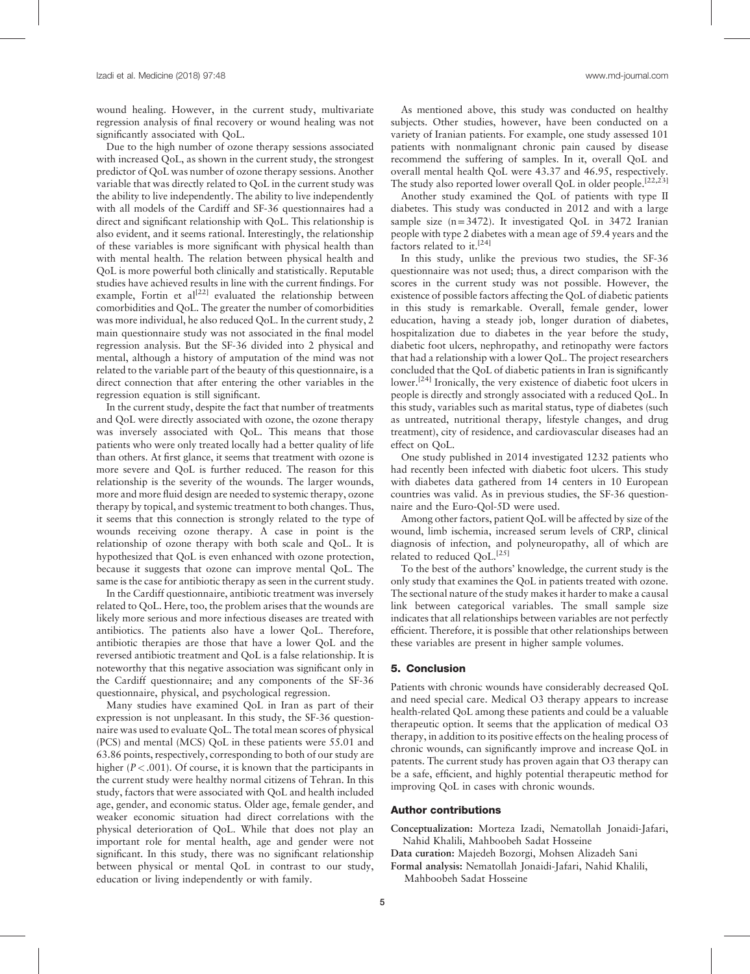wound healing. However, in the current study, multivariate regression analysis of final recovery or wound healing was not significantly associated with QoL.

Due to the high number of ozone therapy sessions associated with increased QoL, as shown in the current study, the strongest predictor of QoL was number of ozone therapy sessions. Another variable that was directly related to QoL in the current study was the ability to live independently. The ability to live independently with all models of the Cardiff and SF-36 questionnaires had a direct and significant relationship with QoL. This relationship is also evident, and it seems rational. Interestingly, the relationship of these variables is more significant with physical health than with mental health. The relation between physical health and QoL is more powerful both clinically and statistically. Reputable studies have achieved results in line with the current findings. For example, Fortin et al<sup>[\[22\]](#page-5-0)</sup> evaluated the relationship between comorbidities and QoL. The greater the number of comorbidities was more individual, he also reduced QoL. In the current study, 2 main questionnaire study was not associated in the final model regression analysis. But the SF-36 divided into 2 physical and mental, although a history of amputation of the mind was not related to the variable part of the beauty of this questionnaire, is a direct connection that after entering the other variables in the regression equation is still significant.

In the current study, despite the fact that number of treatments and QoL were directly associated with ozone, the ozone therapy was inversely associated with QoL. This means that those patients who were only treated locally had a better quality of life than others. At first glance, it seems that treatment with ozone is more severe and QoL is further reduced. The reason for this relationship is the severity of the wounds. The larger wounds, more and more fluid design are needed to systemic therapy, ozone therapy by topical, and systemic treatment to both changes. Thus, it seems that this connection is strongly related to the type of wounds receiving ozone therapy. A case in point is the relationship of ozone therapy with both scale and QoL. It is hypothesized that QoL is even enhanced with ozone protection, because it suggests that ozone can improve mental QoL. The same is the case for antibiotic therapy as seen in the current study.

In the Cardiff questionnaire, antibiotic treatment was inversely related to QoL. Here, too, the problem arises that the wounds are likely more serious and more infectious diseases are treated with antibiotics. The patients also have a lower QoL. Therefore, antibiotic therapies are those that have a lower QoL and the reversed antibiotic treatment and QoL is a false relationship. It is noteworthy that this negative association was significant only in the Cardiff questionnaire; and any components of the SF-36 questionnaire, physical, and psychological regression.

Many studies have examined QoL in Iran as part of their expression is not unpleasant. In this study, the SF-36 questionnaire was used to evaluate QoL. The total mean scores of physical (PCS) and mental (MCS) QoL in these patients were 55.01 and 63.86 points, respectively, corresponding to both of our study are higher  $(P < .001)$ . Of course, it is known that the participants in the current study were healthy normal citizens of Tehran. In this study, factors that were associated with QoL and health included age, gender, and economic status. Older age, female gender, and weaker economic situation had direct correlations with the physical deterioration of QoL. While that does not play an important role for mental health, age and gender were not significant. In this study, there was no significant relationship between physical or mental QoL in contrast to our study, education or living independently or with family.

As mentioned above, this study was conducted on healthy subjects. Other studies, however, have been conducted on a variety of Iranian patients. For example, one study assessed 101 patients with nonmalignant chronic pain caused by disease recommend the suffering of samples. In it, overall QoL and overall mental health QoL were 43.37 and 46.95, respectively. The study also reported lower overall QoL in older people.<sup>[22,23]</sup>

Another study examined the QoL of patients with type II diabetes. This study was conducted in 2012 and with a large sample size  $(n=3472)$ . It investigated QoL in 3472 Iranian people with type 2 diabetes with a mean age of 59.4 years and the factors related to it.<sup>[\[24\]](#page-5-0)</sup>

In this study, unlike the previous two studies, the SF-36 questionnaire was not used; thus, a direct comparison with the scores in the current study was not possible. However, the existence of possible factors affecting the QoL of diabetic patients in this study is remarkable. Overall, female gender, lower education, having a steady job, longer duration of diabetes, hospitalization due to diabetes in the year before the study, diabetic foot ulcers, nephropathy, and retinopathy were factors that had a relationship with a lower QoL. The project researchers concluded that the QoL of diabetic patients in Iran is significantly lower.<sup>[\[24\]](#page-5-0)</sup> Ironically, the very existence of diabetic foot ulcers in people is directly and strongly associated with a reduced QoL. In this study, variables such as marital status, type of diabetes (such as untreated, nutritional therapy, lifestyle changes, and drug treatment), city of residence, and cardiovascular diseases had an effect on QoL.

One study published in 2014 investigated 1232 patients who had recently been infected with diabetic foot ulcers. This study with diabetes data gathered from 14 centers in 10 European countries was valid. As in previous studies, the SF-36 questionnaire and the Euro-Qol-5D were used.

Among other factors, patient QoL will be affected by size of the wound, limb ischemia, increased serum levels of CRP, clinical diagnosis of infection, and polyneuropathy, all of which are related to reduced QoL.<sup>[\[25\]](#page-5-0)</sup>

To the best of the authors' knowledge, the current study is the only study that examines the QoL in patients treated with ozone. The sectional nature of the study makes it harder to make a causal link between categorical variables. The small sample size indicates that all relationships between variables are not perfectly efficient. Therefore, it is possible that other relationships between these variables are present in higher sample volumes.

### 5. Conclusion

Patients with chronic wounds have considerably decreased QoL and need special care. Medical O3 therapy appears to increase health-related QoL among these patients and could be a valuable therapeutic option. It seems that the application of medical O3 therapy, in addition to its positive effects on the healing process of chronic wounds, can significantly improve and increase QoL in patents. The current study has proven again that O3 therapy can be a safe, efficient, and highly potential therapeutic method for improving QoL in cases with chronic wounds.

# Author contributions

Conceptualization: Morteza Izadi, Nematollah Jonaidi-Jafari, Nahid Khalili, Mahboobeh Sadat Hosseine

- Data curation: Majedeh Bozorgi, Mohsen Alizadeh Sani Formal analysis: Nematollah Jonaidi-Jafari, Nahid Khalili,
	- Mahboobeh Sadat Hosseine